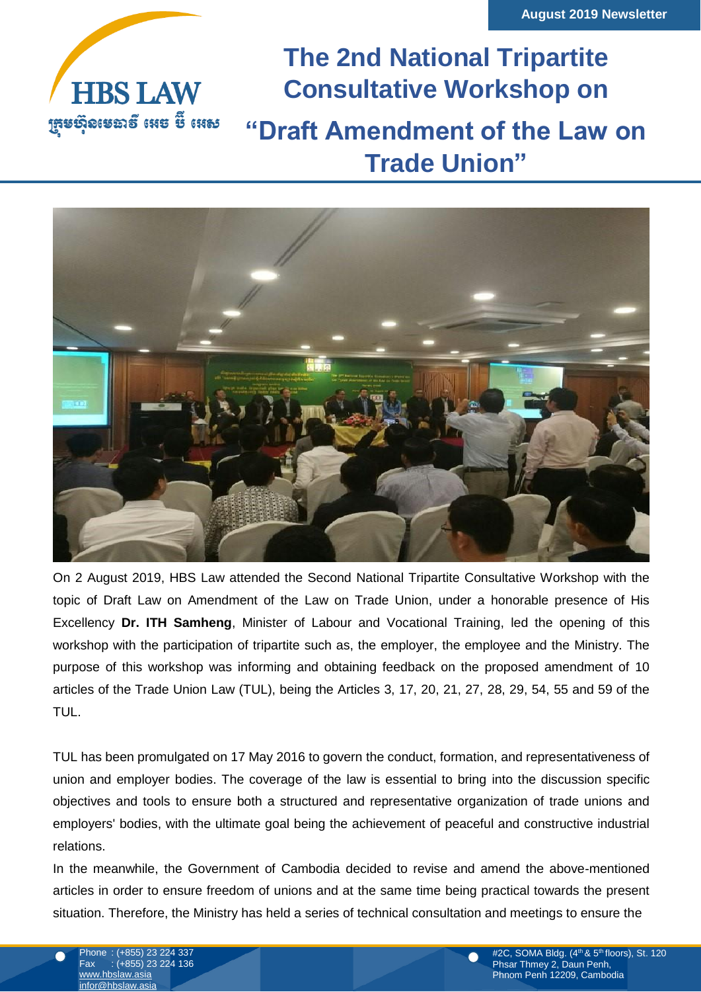

**The 2nd National Tripartite Consultative Workshop on "Draft Amendment of the Law on Trade Union"**



On 2 August 2019, HBS Law attended the Second National Tripartite Consultative Workshop with the topic of Draft Law on Amendment of the Law on Trade Union, under a honorable presence of His Excellency **Dr. ITH Samheng**, Minister of Labour and Vocational Training, led the opening of this workshop with the participation of tripartite such as, the employer, the employee and the Ministry. The purpose of this workshop was informing and obtaining feedback on the proposed amendment of 10 articles of the Trade Union Law (TUL), being the Articles 3, 17, 20, 21, 27, 28, 29, 54, 55 and 59 of the TUL.

TUL has been promulgated on 17 May 2016 to govern the conduct, formation, and representativeness of union and employer bodies. The coverage of the law is essential to bring into the discussion specific objectives and tools to ensure both a structured and representative organization of trade unions and employers' bodies, with the ultimate goal being the achievement of peaceful and constructive industrial relations.

In the meanwhile, the Government of Cambodia decided to revise and amend the above-mentioned articles in order to ensure freedom of unions and at the same time being practical towards the present situation. Therefore, the Ministry has held a series of technical consultation and meetings to ensure the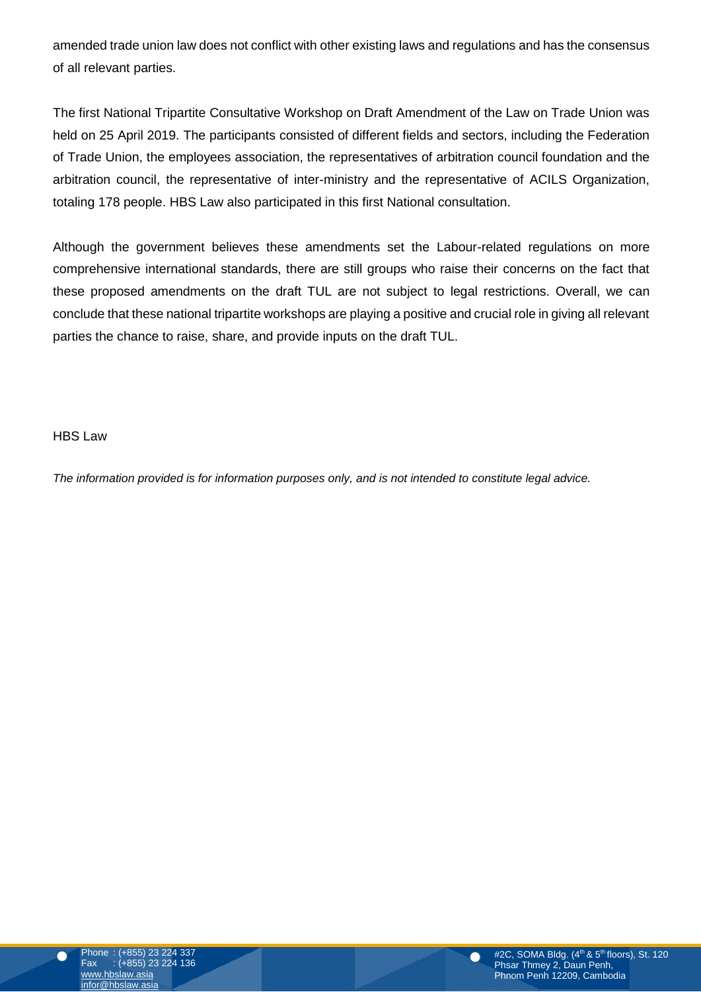amended trade union law does not conflict with other existing laws and regulations and has the consensus of all relevant parties.

The first National Tripartite Consultative Workshop on Draft Amendment of the Law on Trade Union was held on 25 April 2019. The participants consisted of different fields and sectors, including the Federation of Trade Union, the employees association, the representatives of arbitration council foundation and the arbitration council, the representative of inter-ministry and the representative of ACILS Organization, totaling 178 people. HBS Law also participated in this first National consultation.

portice the change to roise, shore, and provid parties the chance to raise, share, and provide inputs on the draft TUL. Although the government believes these amendments set the Labour-related regulations on more comprehensive international standards, there are still groups who raise their concerns on the fact that these proposed amendments on the draft TUL are not subject to legal restrictions. Overall, we can conclude that these national tripartite workshops are playing a positive and crucial role in giving all relevant

HBS Law

*The information provided is for information purposes only, and is not intended to constitute legal advice.*